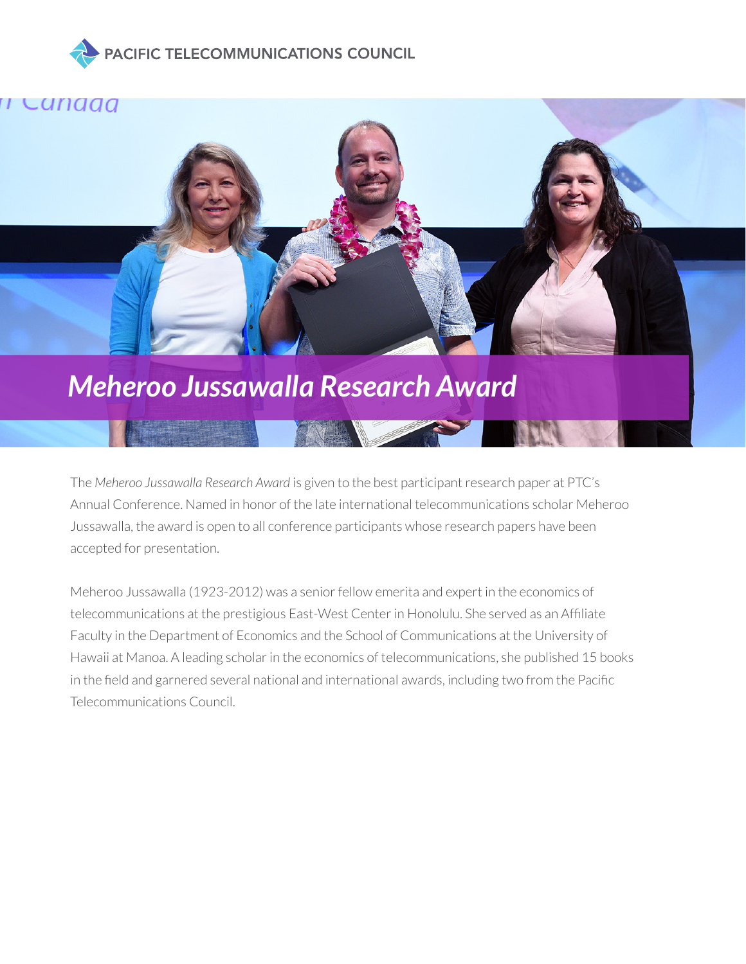





The *Meheroo Jussawalla Research Award* is given to the best participant research paper at PTC's Annual Conference. Named in honor of the late international telecommunications scholar Meheroo Jussawalla, the award is open to all conference participants whose research papers have been accepted for presentation.

Meheroo Jussawalla (1923-2012) was a senior fellow emerita and expert in the economics of telecommunications at the prestigious East-West Center in Honolulu. She served as an Affiliate Faculty in the Department of Economics and the School of Communications at the University of Hawaii at Manoa. A leading scholar in the economics of telecommunications, she published 15 books in the field and garnered several national and international awards, including two from the Pacific Telecommunications Council.